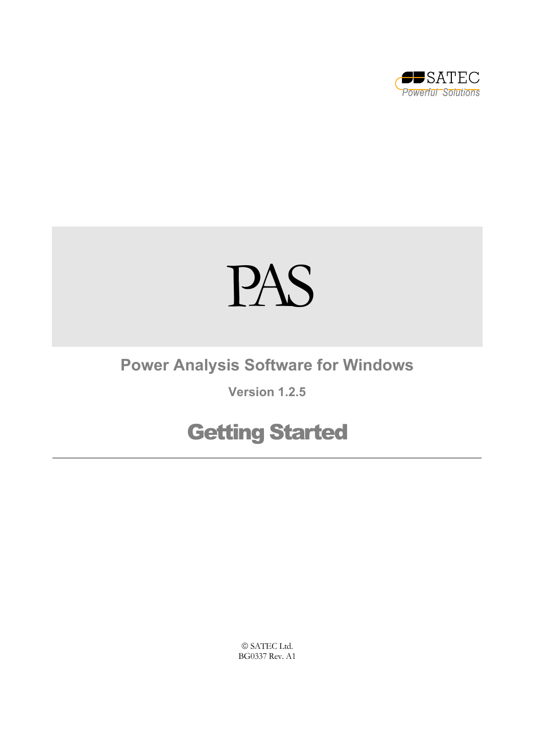

# PAS

## **Power Analysis Software for Windows**

## **Version 1.2.5**

# Getting Started

 SATEC Ltd. BG0337 Rev. A1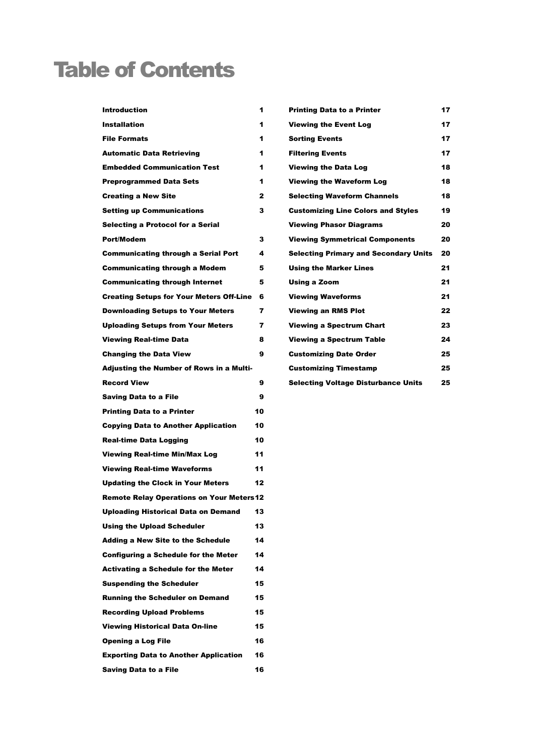# Table of Contents

| <b>Introduction</b>                             | 1            | <b>Printing Data to a Printer</b>            | 17 |
|-------------------------------------------------|--------------|----------------------------------------------|----|
| <b>Installation</b>                             | 1            | <b>Viewing the Event Log</b>                 | 17 |
| <b>File Formats</b>                             | 1            | <b>Sorting Events</b>                        | 17 |
| <b>Automatic Data Retrieving</b>                | 1            | <b>Filtering Events</b>                      | 17 |
| <b>Embedded Communication Test</b>              | 1            | <b>Viewing the Data Log</b>                  | 18 |
| <b>Preprogrammed Data Sets</b>                  | 1            | <b>Viewing the Waveform Log</b>              | 18 |
| <b>Creating a New Site</b>                      | $\mathbf{z}$ | <b>Selecting Waveform Channels</b>           | 18 |
| <b>Setting up Communications</b>                | 3            | <b>Customizing Line Colors and Styles</b>    | 19 |
| Selecting a Protocol for a Serial               |              | <b>Viewing Phasor Diagrams</b>               | 20 |
| Port/Modem                                      | 3            | <b>Viewing Symmetrical Components</b>        | 20 |
| <b>Communicating through a Serial Port</b>      | 4            | <b>Selecting Primary and Secondary Units</b> | 20 |
| <b>Communicating through a Modem</b>            | 5            | <b>Using the Marker Lines</b>                | 21 |
| <b>Communicating through Internet</b>           | 5            | Using a Zoom                                 | 21 |
| <b>Creating Setups for Your Meters Off-Line</b> | 6            | <b>Viewing Waveforms</b>                     | 21 |
| <b>Downloading Setups to Your Meters</b>        | 7            | <b>Viewing an RMS Plot</b>                   | 22 |
| <b>Uploading Setups from Your Meters</b>        | 7            | <b>Viewing a Spectrum Chart</b>              | 23 |
| <b>Viewing Real-time Data</b>                   | 8            | <b>Viewing a Spectrum Table</b>              | 24 |
| <b>Changing the Data View</b>                   | 9            | <b>Customizing Date Order</b>                | 25 |
| <b>Adjusting the Number of Rows in a Multi-</b> |              | <b>Customizing Timestamp</b>                 | 25 |
| <b>Record View</b>                              | 9            | <b>Selecting Voltage Disturbance Units</b>   | 25 |
| <b>Saving Data to a File</b>                    | 9            |                                              |    |
| <b>Printing Data to a Printer</b>               | 10           |                                              |    |
| <b>Copying Data to Another Application</b>      | 10           |                                              |    |
| <b>Real-time Data Logging</b>                   | 10           |                                              |    |
| <b>Viewing Real-time Min/Max Log</b>            | 11           |                                              |    |
| <b>Viewing Real-time Waveforms</b>              | 11           |                                              |    |
| <b>Updating the Clock in Your Meters</b>        | 12           |                                              |    |
| <b>Remote Relay Operations on Your Meters12</b> |              |                                              |    |
| <b>Uploading Historical Data on Demand</b>      | 13           |                                              |    |
| <b>Using the Upload Scheduler</b>               | 13           |                                              |    |
| <b>Adding a New Site to the Schedule</b>        | 14           |                                              |    |
| <b>Configuring a Schedule for the Meter</b>     | 14           |                                              |    |
| <b>Activating a Schedule for the Meter</b>      | 14           |                                              |    |
| <b>Suspending the Scheduler</b>                 | 15           |                                              |    |
| <b>Running the Scheduler on Demand</b>          | 15           |                                              |    |
| <b>Recording Upload Problems</b>                | 15           |                                              |    |
| <b>Viewing Historical Data On-line</b>          | 15           |                                              |    |
| <b>Opening a Log File</b>                       | 16           |                                              |    |
| <b>Exporting Data to Another Application</b>    | 16           |                                              |    |
| <b>Saving Data to a File</b>                    | 16           |                                              |    |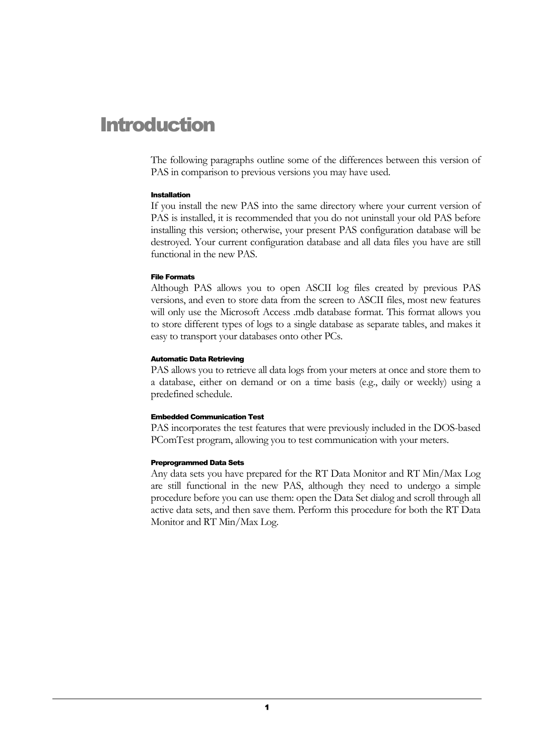## Introduction

The following paragraphs outline some of the differences between this version of PAS in comparison to previous versions you may have used.

#### <span id="page-2-0"></span>Installation

If you install the new PAS into the same directory where your current version of PAS is installed, it is recommended that you do not uninstall your old PAS before installing this version; otherwise, your present PAS configuration database will be destroyed. Your current configuration database and all data files you have are still functional in the new PAS.

#### <span id="page-2-1"></span>File Formats

Although PAS allows you to open ASCII log files created by previous PAS versions, and even to store data from the screen to ASCII files, most new features will only use the Microsoft Access .mdb database format. This format allows you to store different types of logs to a single database as separate tables, and makes it easy to transport your databases onto other PCs.

#### <span id="page-2-2"></span>Automatic Data Retrieving

PAS allows you to retrieve all data logs from your meters at once and store them to a database, either on demand or on a time basis (e.g., daily or weekly) using a predefined schedule.

#### <span id="page-2-3"></span>Embedded Communication Test

PAS incorporates the test features that were previously included in the DOS-based PComTest program, allowing you to test communication with your meters.

#### <span id="page-2-4"></span>Preprogrammed Data Sets

Any data sets you have prepared for the RT Data Monitor and RT Min/Max Log are still functional in the new PAS, although they need to undergo a simple procedure before you can use them: open the Data Set dialog and scroll through all active data sets, and then save them. Perform this procedure for both the RT Data Monitor and RT Min/Max Log.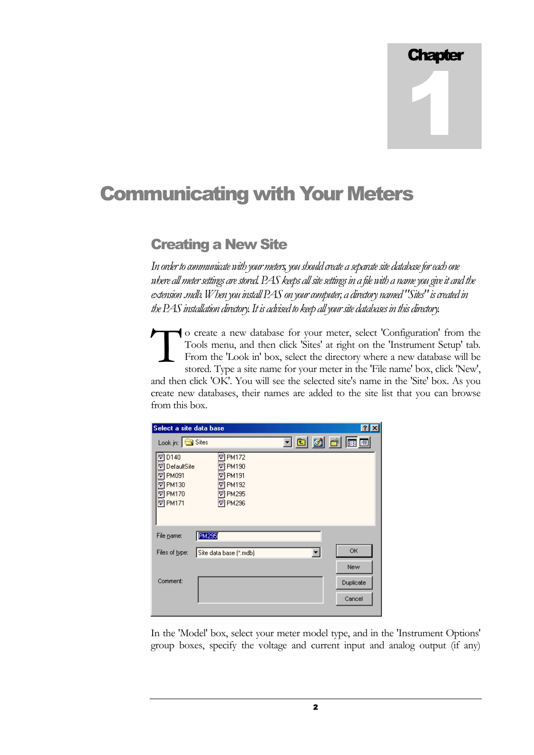1

## Communicating with Your Meters

### <span id="page-3-0"></span>Creating a New Site

*In order to communicate with your meters, you should create a separate site database for each one where all meter settings are stored. PAS keeps all site settings in a file with a name you give it and the extension .mdb. When you install PAS on your computer, a directory named "Sites" is created in the PAS installation directory. It is advised to keep all your site databases in this directory.* 

o create a new database for your meter, select 'Configuration' from the Tools menu, and then click 'Sites' at right on the 'Instrument Setup' tab. From the 'Look in' box, select the directory where a new database will be stored. Type a site name for your meter in the 'File name' box, click 'New', and then click 'OK'. You will see the selected site's name in the 'Site' box. As you create new databases, their names are added to the site list that you can browse from this box.  $\prod_{\rm fr}^{\rm o}$ 

| Select a site data base                                                               |                                                                                               |                   |                            |
|---------------------------------------------------------------------------------------|-----------------------------------------------------------------------------------------------|-------------------|----------------------------|
| Look in: Sites                                                                        |                                                                                               | <u>toja k</u> ipo |                            |
| D140<br>형<br>DefaultSite<br>PM091<br>UPM130<br><b>▼ PM170</b><br><mark>☞</mark> PM171 | <b>PM172</b><br>뻬<br>PM190<br>룅<br>PM191<br>$\approx$<br>™ PM192<br>☞ PM295<br><b>屋 PM296</b> |                   |                            |
| File name:                                                                            | <b>PM295</b>                                                                                  |                   |                            |
| Files of type:                                                                        | Site data base (".mdb)                                                                        |                   | OK                         |
| Comment:                                                                              |                                                                                               |                   | New<br>Duplicate<br>Cancel |

In the 'Model' box, select your meter model type, and in the 'Instrument Options' group boxes, specify the voltage and current input and analog output (if any)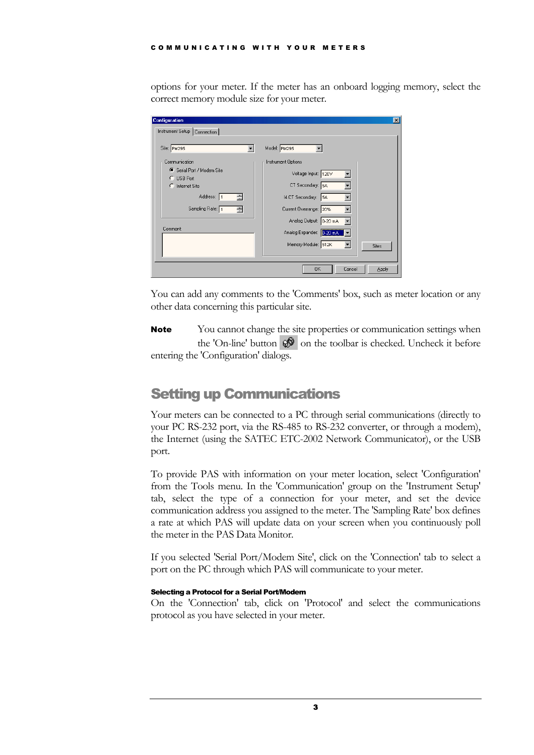options for your meter. If the meter has an onboard logging memory, select the correct memory module size for your meter.

| <b>Configuration</b>                          | $\vert x \vert$              |
|-----------------------------------------------|------------------------------|
| Instrument Setup   Connection                 |                              |
|                                               |                              |
| Site: PM295                                   | Model: PM295                 |
| Communication                                 | Instrument Options           |
| Serial Port / Modem Site<br><b>C</b> USB Port | Voltage Input: 120V          |
| C Internet Site                               | CT Secondary: 5A             |
| Address: 1<br>罡                               | 14 CT Secondary: 5A          |
| Sampling Rate: 1<br>중                         | Current Overrange: 20%       |
|                                               | Analog Output: 0-20 mA       |
| Comment:                                      | Analog Expander: 0-20 mA     |
|                                               | Memory Module: 512K<br>Sites |
|                                               |                              |
|                                               | OK<br>Cancel<br><b>Apply</b> |

You can add any comments to the 'Comments' box, such as meter location or any other data concerning this particular site.

You cannot change the site properties or communication settings when the 'On-line' button  $\mathcal{D}$  on the toolbar is checked. Uncheck it before entering the 'Configuration' dialogs. Note

### <span id="page-4-0"></span>Setting up Communications

Your meters can be connected to a PC through serial communications (directly to your PC RS-232 port, via the RS-485 to RS-232 converter, or through a modem), the Internet (using the SATEC ETC-2002 Network Communicator), or the USB port.

To provide PAS with information on your meter location, select 'Configuration' from the Tools menu. In the 'Communication' group on the 'Instrument Setup' tab, select the type of a connection for your meter, and set the device communication address you assigned to the meter. The 'Sampling Rate' box defines a rate at which PAS will update data on your screen when you continuously poll the meter in the PAS Data Monitor.

If you selected 'Serial Port/Modem Site', click on the 'Connection' tab to select a port on the PC through which PAS will communicate to your meter.

#### <span id="page-4-1"></span>Selecting a Protocol for a Serial Port/Modem

On the 'Connection' tab, click on 'Protocol' and select the communications protocol as you have selected in your meter.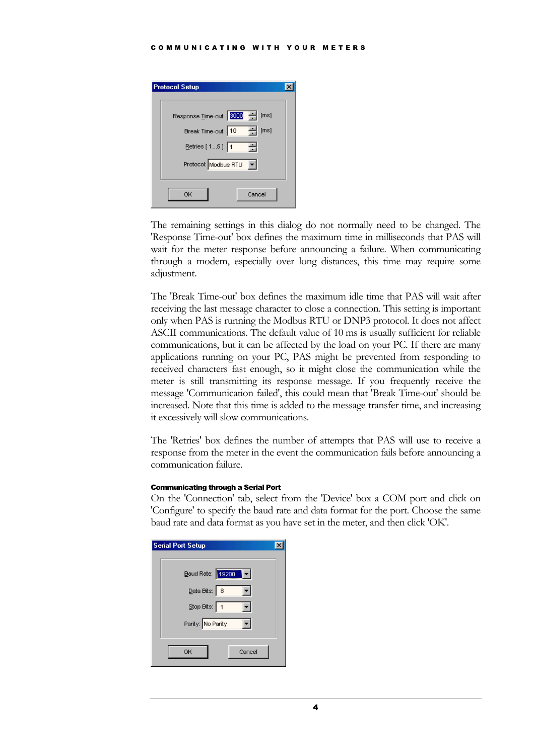| <b>Protocol Setup</b>            |  |
|----------------------------------|--|
| Response Time-out: 3000 - [ms]   |  |
| 그림<br>Break Time-out: 10<br>[ms] |  |
| Retries [ 1  5 ]: 1<br>싂         |  |
| Protocol: Modbus RTU<br>▾╎       |  |
|                                  |  |
| Cancel<br>ОK                     |  |

The remaining settings in this dialog do not normally need to be changed. The 'Response Time-out' box defines the maximum time in milliseconds that PAS will wait for the meter response before announcing a failure. When communicating through a modem, especially over long distances, this time may require some adjustment.

The 'Break Time-out' box defines the maximum idle time that PAS will wait after receiving the last message character to close a connection. This setting is important only when PAS is running the Modbus RTU or DNP3 protocol. It does not affect ASCII communications. The default value of 10 ms is usually sufficient for reliable communications, but it can be affected by the load on your PC. If there are many applications running on your PC, PAS might be prevented from responding to received characters fast enough, so it might close the communication while the meter is still transmitting its response message. If you frequently receive the message 'Communication failed', this could mean that 'Break Time-out' should be increased. Note that this time is added to the message transfer time, and increasing it excessively will slow communications.

The 'Retries' box defines the number of attempts that PAS will use to receive a response from the meter in the event the communication fails before announcing a communication failure.

#### <span id="page-5-0"></span>Communicating through a Serial Port

On the 'Connection' tab, select from the 'Device' box a COM port and click on 'Configure' to specify the baud rate and data format for the port. Choose the same baud rate and data format as you have set in the meter, and then click 'OK'.

| <b>Serial Port Setup</b>                      |  |
|-----------------------------------------------|--|
|                                               |  |
| Baud Rate: 19200<br>$\left\vert -\right\vert$ |  |
| Data Bits: 8                                  |  |
| Stop Bits: 1                                  |  |
| Parity: No Parity                             |  |
| OK<br>Cancel                                  |  |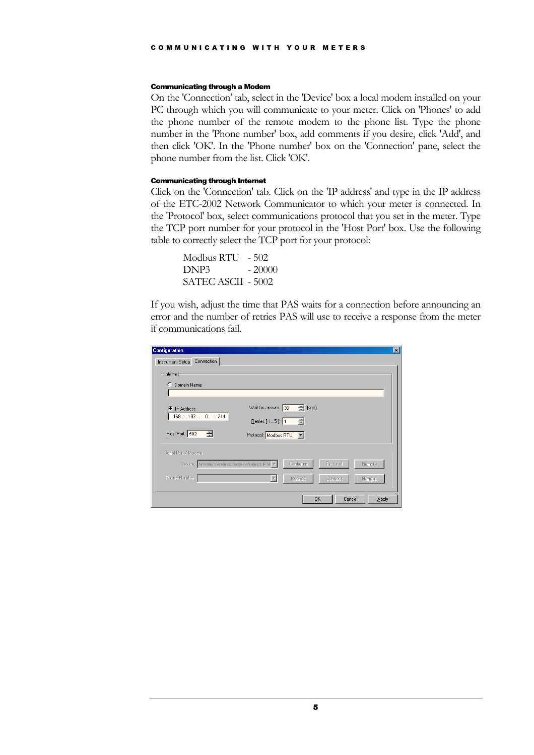#### <span id="page-6-0"></span>Communicating through a Modem

On the 'Connection' tab, select in the 'Device' box a local modem installed on your PC through which you will communicate to your meter. Click on 'Phones' to add the phone number of the remote modem to the phone list. Type the phone number in the 'Phone number' box, add comments if you desire, click 'Add', and then click 'OK'. In the 'Phone number' box on the 'Connection' pane, select the phone number from the list. Click 'OK'.

#### <span id="page-6-1"></span>Communicating through Internet

Click on the 'Connection' tab. Click on the 'IP address' and type in the IP address of the ETC-2002 Network Communicator to which your meter is connected. In the 'Protocol' box, select communications protocol that you set in the meter. Type the TCP port number for your protocol in the 'Host Port' box. Use the following table to correctly select the TCP port for your protocol:

 Modbus RTU - 502 DNP3 - 20000 SATEC ASCII - 5002

If you wish, adjust the time that PAS waits for a connection before announcing an error and the number of retries PAS will use to receive a response from the meter if communications fail.

| <b>Configuration</b>                            |                                    |
|-------------------------------------------------|------------------------------------|
| Instrument Setup Connection                     |                                    |
| Internet                                        |                                    |
| C Domain Name:                                  |                                    |
|                                                 |                                    |
| <b>IP Address</b><br>G                          | $=$ [sec]<br>Wait for answer: 30   |
| 168 . 192 . 0 . 214                             | Retries [15]: 1<br>$\equiv$        |
|                                                 |                                    |
| Host Port 502<br>품                              | Protocol: Modbus RTU               |
| Serial Port / Modem-                            |                                    |
| Device: Novatel Wireless Serial Wireless IP M > | Configure<br>Protocol<br>Remote    |
|                                                 |                                    |
| Phone Number:                                   | <b>Connect</b><br>Phones<br>Hangup |
|                                                 |                                    |
|                                                 | OK<br>Cancel<br><b>Apply</b>       |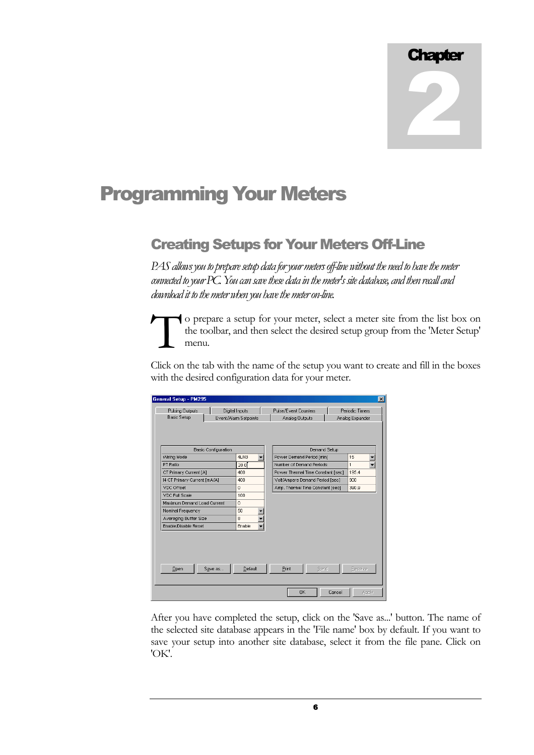## Programming Your Meters

### <span id="page-7-0"></span>Creating Setups for Your Meters Off-Line

*PAS allows you to prepare setup data for your meters off-line without the need to have the meter connected to your PC. You can save these data in the meter's site database, and then recall and download it to the meter when you have the meter on-line.* 

o prepare a setup for your meter, select a meter site from the list box on the toolbar, and then select the desired setup group from the 'Meter Setup' menu. the toolbar, and then select the desired setup group from the 'Meter Setup' menu.

Click on the tab with the name of the setup you want to create and fill in the boxes with the desired configuration data for your meter.

| <b>Pulsing Outputs</b>       | Digital Inputs             |         | Pulse/Event Counters              | Periodic Timers |
|------------------------------|----------------------------|---------|-----------------------------------|-----------------|
| <b>Basic Setup</b>           | Event/Alarm Setpoints      |         | Analog Outputs                    | Analog Expander |
|                              |                            |         |                                   |                 |
|                              | <b>Basic Configuration</b> |         | Demand Setup                      |                 |
| Wiring Mode                  |                            | 4LN3    | Power Demand Period [min]         | 15              |
| PT Ratio                     |                            | 20.0    | Number of Demand Periods          | 1               |
| CT Primary Current [A]       |                            | 400     | Power Thermal Time Constant [sec] | 195.4           |
| 14 CT Primary Current [mA/A] |                            | 400     | Volt/Ampere Demand Period [sec]   | 900             |
| <b>VDC Offset</b>            |                            | 0       | Amp. Thermal Time Constant [sec]  | 390.9           |
| <b>VDC Full Scale</b>        |                            | 100     |                                   |                 |
| Maximum Demand Load Current  |                            | 0       |                                   |                 |
| Nominal Frequency            |                            | 50      |                                   |                 |
| Averaging Buffer Size        |                            | 8       |                                   |                 |
| Enable/Disable Reset         |                            | Enable  |                                   |                 |
| $Q$ pen                      | Save as                    | Default | Print<br>Send                     | <b>Receive</b>  |
|                              |                            |         |                                   |                 |

After you have completed the setup, click on the 'Save as...' button. The name of the selected site database appears in the 'File name' box by default. If you want to save your setup into another site database, select it from the file pane. Click on 'OK'.

6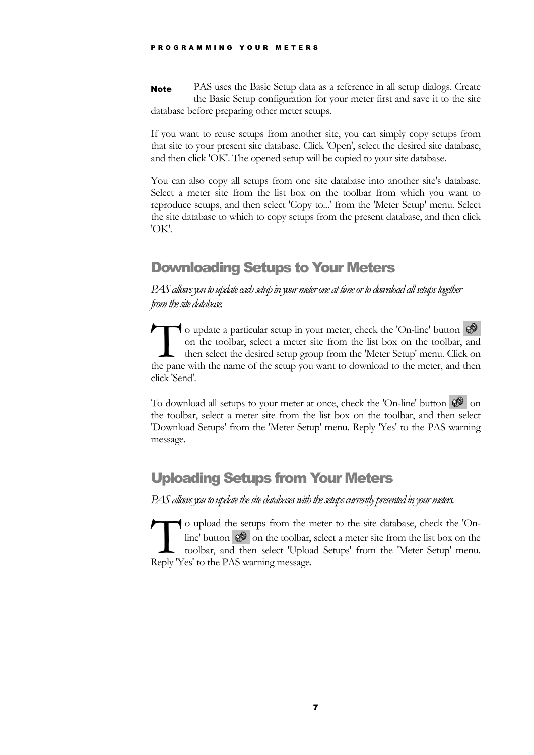PAS uses the Basic Setup data as a reference in all setup dialogs. Create the Basic Setup configuration for your meter first and save it to the site database before preparing other meter setups. Note

If you want to reuse setups from another site, you can simply copy setups from that site to your present site database. Click 'Open', select the desired site database, and then click 'OK'. The opened setup will be copied to your site database.

You can also copy all setups from one site database into another site's database. Select a meter site from the list box on the toolbar from which you want to reproduce setups, and then select 'Copy to...' from the 'Meter Setup' menu. Select the site database to which to copy setups from the present database, and then click 'OK'.

## <span id="page-8-0"></span>Downloading Setups to Your Meters

*PAS allows you to update each setup in your meter one at time or to download all setups together from the site database.* 

 $\blacksquare$  o update a particular setup in your meter, check the 'On-line' button on the toolbar, select a meter site from the list box on the toolbar, and then select the desired setup group from the 'Meter Setup' menu. Click on the pane with the name of the setup you want to download to the meter, and then select the desired setup group from the 'Meter Setup' menu. Click on the pane with the name of the setup you want to download to the meter, an click 'Send'.

To download all setups to your meter at once, check the 'On-line' button  $\mathcal{Q}^{\mathcal{P}}$  on the toolbar, select a meter site from the list box on the toolbar, and then select 'Download Setups' from the 'Meter Setup' menu. Reply 'Yes' to the PAS warning message.

## <span id="page-8-1"></span>Uploading Setups from Your Meters

*PAS allows you to update the site databases with the setups currently presented in your meters.* 

The upload the setups from the meter to the site database, check the 'Online' button  $\bigcirc$  on the toolbar, select a meter site from the list box on the toolbar, and then select 'Upload Setups' from the 'Meter Setup' menu.<br> line' button  $\mathcal{O}$  on the toolbar, select a meter site from the list box on the toolbar, and then select 'Upload Setups' from the 'Meter Setup' menu. Reply 'Yes' to the PAS warning message.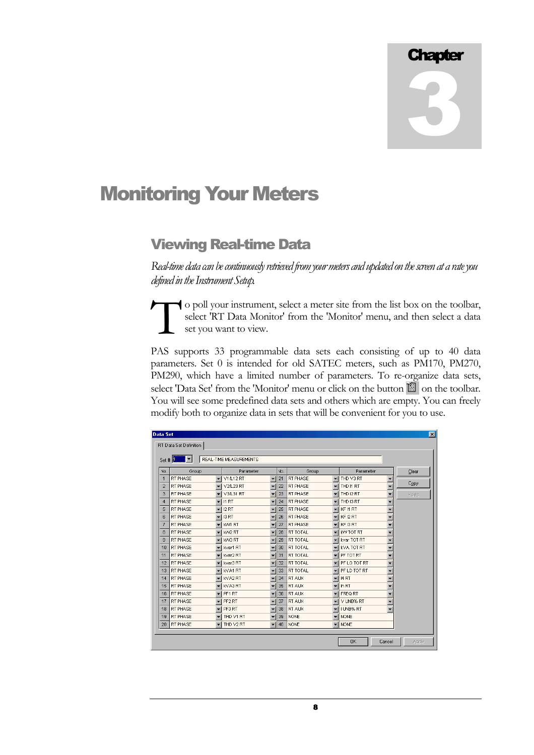## Monitoring Your Meters

### <span id="page-9-0"></span>Viewing Real-time Data

*Real-time data can be continuously retrieved from your meters and updated on the screen at a rate you defined in the Instrument Setup.* 

o poll your instrument, select a meter site from the list box on the toolbar, select 'RT Data Monitor' from the 'Monitor' menu, and then select a data set you want to view. To i sel

PAS supports 33 programmable data sets each consisting of up to 40 data parameters. Set 0 is intended for old SATEC meters, such as PM170, PM270, PM290, which have a limited number of parameters. To re-organize data sets, select 'Data Set' from the 'Monitor' menu or click on the button  $\Box$  on the toolbar. You will see some predefined data sets and others which are empty. You can freely modify both to organize data in sets that will be convenient for you to use.

| Set # $11$      | H               |                          | <b>REAL-TIME MEASUREMENTS</b>    |                          |     |                 |                          |                                         |       |
|-----------------|-----------------|--------------------------|----------------------------------|--------------------------|-----|-----------------|--------------------------|-----------------------------------------|-------|
| No.             | Group           |                          | Parameter                        |                          | No. | Group           |                          | Parameter                               | Clear |
| $\mathbf{1}$    | RT PHASE        |                          | $\blacktriangleright$ V1/L12 RT  | $\overline{\phantom{a}}$ | 21  | <b>RT PHASE</b> | ۰                        | I THD V3 RT<br>$\overline{\phantom{a}}$ |       |
| $\overline{2}$  | RT PHASE        |                          | $\blacktriangledown$ V2/L23 RT   |                          | 22  | <b>RT PHASE</b> | $\overline{\phantom{a}}$ | $\overline{\phantom{a}}$<br>I THD 11 RT | Copy  |
| 3               | RT PHASE        |                          | $\blacktriangleright$ V3/L31 RT  |                          | 23  | <b>RT PHASE</b> | $\overline{\phantom{a}}$ | THD I2 RT                               | Paste |
| $\overline{4}$  | RT PHASE        |                          | $\overline{\mathbf{r}}$ in RT    |                          | 24  | <b>RT PHASE</b> | ▼                        | THD I3 RT                               |       |
| 5               | RT PHASE        |                          | $-$ 12 RT                        |                          | 25  | <b>RT PHASE</b> |                          | $\blacktriangleright$ KF I1 RT          |       |
| 6               | RT PHASE        | ▼                        | 13 RT                            |                          | 26  | <b>RT PHASE</b> | ▼                        | $\overline{\phantom{0}}$<br>KF 12 RT    |       |
|                 | <b>RT PHASE</b> |                          | KVV1 RT                          |                          | 27  | <b>RT PHASE</b> |                          | $\blacktriangleright$ KF I3 RT          |       |
| 8               | RT PHASE        |                          | KVV2 RT                          |                          | 28  | <b>RT TOTAL</b> |                          | KAV TOT RT                              |       |
| 9               | RT PHASE        | $\overline{\phantom{0}}$ | KW3 RT                           |                          | 29  | <b>RT TOTAL</b> | $\overline{\phantom{a}}$ | kvar TOT RT                             |       |
| 10 <sup>1</sup> | RT PHASE        |                          | kvar1 RT                         |                          | 30  | <b>RT TOTAL</b> |                          | KVA TOT RT                              |       |
| 11              | RT PHASE        |                          | kvar2 RT                         |                          | 31  | <b>RT TOTAL</b> | ▼                        | PF TOT RT                               |       |
| 12              | <b>RT PHASE</b> |                          | $\blacktriangleright$ kvar3 RT   |                          | 32  | <b>RT TOTAL</b> |                          | $\blacktriangleright$ PF LG TOT RT      |       |
| 13              | RT PHASE        |                          | kVA1 RT                          |                          | 33  | RT TOTAL        | ▼                        | PF LD TOT RT                            |       |
| 14              | RT PHASE        |                          | l kVA2 RT                        |                          | 34  | <b>RT AUX</b>   |                          | $\blacktriangleright$   14 RT           |       |
| 15              | RT PHASE        |                          | KVA3 RT                          |                          | 35  | RT AUX          | $\overline{\phantom{a}}$ | In RT                                   |       |
| 16              | RT PHASE        |                          | $\overline{\mathbf{r}}$   PF1 RT |                          | 36  | <b>RT AUX</b>   | $\overline{\phantom{a}}$ | <b>FREQ RT</b>                          |       |
| 17              | <b>RT PHASE</b> | $\overline{\phantom{a}}$ | PF2 RT                           |                          | 37  | <b>RT AUX</b>   | ▼                        | II V UNB% RT                            |       |
| 18              | RT PHASE        |                          | PF3 RT                           |                          | 38  | <b>RT AUX</b>   |                          | II UNB% RT                              |       |
| 19              | RT PHASE        | $\overline{\phantom{a}}$ | I THD V1 RT                      |                          | 39  | <b>NONE</b>     | $\blacktriangledown$     | <b>NONE</b>                             |       |
| 20              | RT PHASE        |                          | THD V2 RT                        |                          | 40  | <b>NONE</b>     | $\overline{\phantom{a}}$ | <b>NONE</b>                             |       |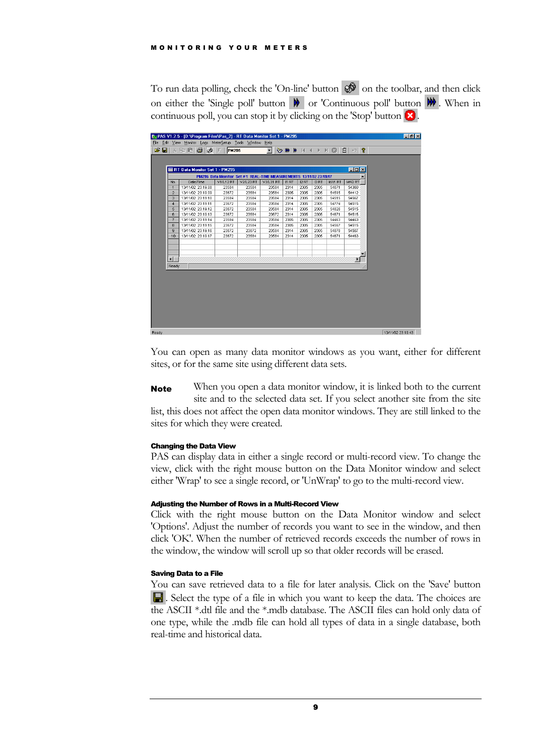#### MONITORING YOUR METERS

To run data polling, check the 'On-line' button  $\mathcal{D}$  on the toolbar, and then click on either the 'Single poll' button  $\mathbf{W}$  or 'Continuous poll' button  $\mathbf{W}$ . When in continuous poll, you can stop it by clicking on the 'Stop' button  $\mathbf{x}$ .

|                | RT Data Monitor Set 1 - PM295 |                  |                                                                                        |                  |       |       |       |        | $  \mathbb{Z}$ $\times$ |  |
|----------------|-------------------------------|------------------|----------------------------------------------------------------------------------------|------------------|-------|-------|-------|--------|-------------------------|--|
| No             | Date/Time                     | <b>V1/L12 RT</b> | PM295 Data Monitor Set #1 REAL-TIME MEASUREMENTS 13/11/02 23:19:17<br><b>V2A.23 RT</b> | <b>V3A.31 RT</b> | II RT | 12 RT | 13 RT | KW1 RT | KVV2 RT                 |  |
| $\mathbf{1}$   | 13/11/02 23:19:08             | 23584            | 23584                                                                                  | 23584            | 2314  | 2305  | 2305  | 54671  | 54360                   |  |
| $\overline{2}$ | 13/11/02 23:19:09             | 23672            | 23584                                                                                  | 23584            | 2305  | 2305  | 2305  | 54515  | 54412                   |  |
| 3              | 13/11/02 23:19:10             | 23584            | 23584                                                                                  | 23584            | 2314  | 2305  | 2305  | 54515  | 54567                   |  |
| $\overline{4}$ | 13/11/02 23:19:11             | 23672            | 23584                                                                                  | 23584            | 2314  | 2305  | 2305  | 54774  | 54515                   |  |
| 5              | 13/11/02 23:19:12             | 23672            | 23584                                                                                  | 23584            | 2314  | 2305  | 2305  | 54826  | 54515                   |  |
| 6              | 13/11/02 23:19:13             | 23672            | 23584                                                                                  | 23672            | 2314  | 2305  | 2305  | 54671  | 54515                   |  |
| z              | 13/11/02 23:19:14             | 23584            | 23584                                                                                  | 23584            | 2305  | 2305  | 2305  | 54463  | 54463                   |  |
| 8              | 13/11/02 23:19:15             | 23672            | 23584                                                                                  | 23584            | 2305  | 2305  | 2305  | 54567  | 54515                   |  |
| $\mathbf{q}$   | 13/11/02 23:19:16             | 23672            | 23672                                                                                  | 23584            | 2314  | 2305  | 2305  | 54878  | 54567                   |  |
| 10             | 13/11/02 23:19:17             | 23672            | 23584                                                                                  | 23584            | 2314  | 2305  | 2305  | 54671  | 54463                   |  |
|                |                               |                  |                                                                                        |                  |       |       |       |        |                         |  |
|                |                               |                  |                                                                                        |                  |       |       |       |        |                         |  |
|                |                               |                  |                                                                                        |                  |       |       |       |        |                         |  |
| $\blacksquare$ |                               |                  |                                                                                        |                  |       |       |       |        |                         |  |
| Ready          |                               |                  |                                                                                        |                  |       |       |       |        |                         |  |
|                |                               |                  |                                                                                        |                  |       |       |       |        |                         |  |
|                |                               |                  |                                                                                        |                  |       |       |       |        |                         |  |
|                |                               |                  |                                                                                        |                  |       |       |       |        |                         |  |
|                |                               |                  |                                                                                        |                  |       |       |       |        |                         |  |
|                |                               |                  |                                                                                        |                  |       |       |       |        |                         |  |
|                |                               |                  |                                                                                        |                  |       |       |       |        |                         |  |
|                |                               |                  |                                                                                        |                  |       |       |       |        |                         |  |

You can open as many data monitor windows as you want, either for different sites, or for the same site using different data sets.

When you open a data monitor window, it is linked both to the current site and to the selected data set. If you select another site from the site list, this does not affect the open data monitor windows. They are still linked to the sites for which they were created. Note

#### <span id="page-10-0"></span>Changing the Data View

PAS can display data in either a single record or multi-record view. To change the view, click with the right mouse button on the Data Monitor window and select either 'Wrap' to see a single record, or 'UnWrap' to go to the multi-record view.

#### <span id="page-10-1"></span>Adjusting the Number of Rows in a Multi-Record View

Click with the right mouse button on the Data Monitor window and select 'Options'. Adjust the number of records you want to see in the window, and then click 'OK'. When the number of retrieved records exceeds the number of rows in the window, the window will scroll up so that older records will be erased.

#### <span id="page-10-2"></span>Saving Data to a File

You can save retrieved data to a file for later analysis. Click on the 'Save' button . Select the type of a file in which you want to keep the data. The choices are the ASCII \*.dtl file and the \*.mdb database. The ASCII files can hold only data of one type, while the .mdb file can hold all types of data in a single database, both real-time and historical data.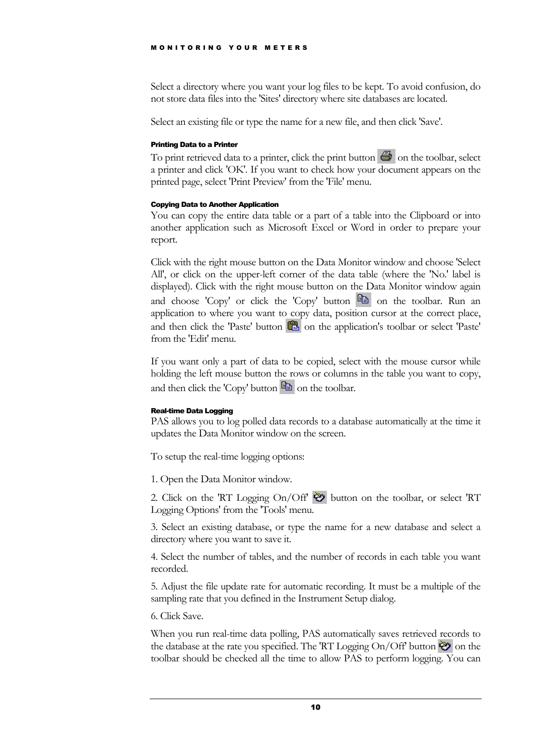#### MONITORING YOUR METERS

Select a directory where you want your log files to be kept. To avoid confusion, do not store data files into the 'Sites' directory where site databases are located.

Select an existing file or type the name for a new file, and then click 'Save'.

#### <span id="page-11-0"></span>Printing Data to a Printer

To print retrieved data to a printer, click the print button  $\bigcirc$  on the toolbar, select a printer and click 'OK'. If you want to check how your document appears on the printed page, select 'Print Preview' from the 'File' menu.

#### <span id="page-11-1"></span>Copying Data to Another Application

You can copy the entire data table or a part of a table into the Clipboard or into another application such as Microsoft Excel or Word in order to prepare your report.

Click with the right mouse button on the Data Monitor window and choose 'Select All', or click on the upper-left corner of the data table (where the 'No.' label is displayed). Click with the right mouse button on the Data Monitor window again and choose 'Copy' or click the 'Copy' button  $\Box$  on the toolbar. Run an application to where you want to copy data, position cursor at the correct place, and then click the 'Paste' button  $\Box$  on the application's toolbar or select 'Paste' from the 'Edit' menu.

If you want only a part of data to be copied, select with the mouse cursor while holding the left mouse button the rows or columns in the table you want to copy, and then click the 'Copy' button  $\Box$  on the toolbar.

#### <span id="page-11-2"></span>Real-time Data Logging

PAS allows you to log polled data records to a database automatically at the time it updates the Data Monitor window on the screen.

To setup the real-time logging options:

1. Open the Data Monitor window.

2. Click on the 'RT Logging On/Off'  $\bullet$  button on the toolbar, or select 'RT Logging Options' from the 'Tools' menu.

3. Select an existing database, or type the name for a new database and select a directory where you want to save it.

4. Select the number of tables, and the number of records in each table you want recorded.

5. Adjust the file update rate for automatic recording. It must be a multiple of the sampling rate that you defined in the Instrument Setup dialog.

6. Click Save.

When you run real-time data polling, PAS automatically saves retrieved records to the database at the rate you specified. The 'RT Logging On/Off' button  $\ddot{\bullet}$  on the toolbar should be checked all the time to allow PAS to perform logging. You can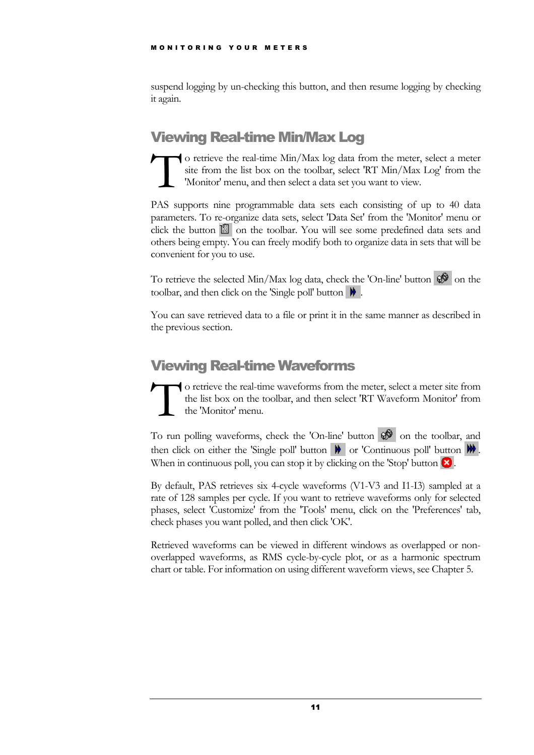suspend logging by un-checking this button, and then resume logging by checking it again.

## <span id="page-12-0"></span>Viewing Real-time Min/Max Log

o retrieve the real-time Min/Max log data from the meter, select a meter site from the list box on the toolbar, select 'RT Min/Max Log' from the 'Monitor' menu, and then select a data set you want to view. To site<br>T site<br>'M

PAS supports nine programmable data sets each consisting of up to 40 data parameters. To re-organize data sets, select 'Data Set' from the 'Monitor' menu or click the button  $\Box$  on the toolbar. You will see some predefined data sets and others being empty. You can freely modify both to organize data in sets that will be convenient for you to use.

To retrieve the selected Min/Max log data, check the 'On-line' button  $\mathcal{D}$  on the toolbar, and then click on the 'Single poll' button  $\mathbf{\mathcal{W}}$ 

You can save retrieved data to a file or print it in the same manner as described in the previous section.

## <span id="page-12-1"></span>Viewing Real-time Waveforms

o retrieve the real-time waveforms from the meter, select a meter site from the list box on the toolbar, and then select 'RT Waveform Monitor' from the 'Monitor' menu.  $\sum_{\text{the}}$ 

To run polling waveforms, check the 'On-line' button  $\mathcal{D}$  on the toolbar, and then click on either the 'Single poll' button  $\mathbf{W}$  or 'Continuous poll' button  $\mathbf{W}$ . When in continuous poll, you can stop it by clicking on the 'Stop' button  $\mathbf{\times}$ .

By default, PAS retrieves six 4-cycle waveforms (V1-V3 and I1-I3) sampled at a rate of 128 samples per cycle. If you want to retrieve waveforms only for selected phases, select 'Customize' from the 'Tools' menu, click on the 'Preferences' tab, check phases you want polled, and then click 'OK'.

Retrieved waveforms can be viewed in different windows as overlapped or nonoverlapped waveforms, as RMS cycle-by-cycle plot, or as a harmonic spectrum chart or table. For information on using different waveform views, see Chapter 5.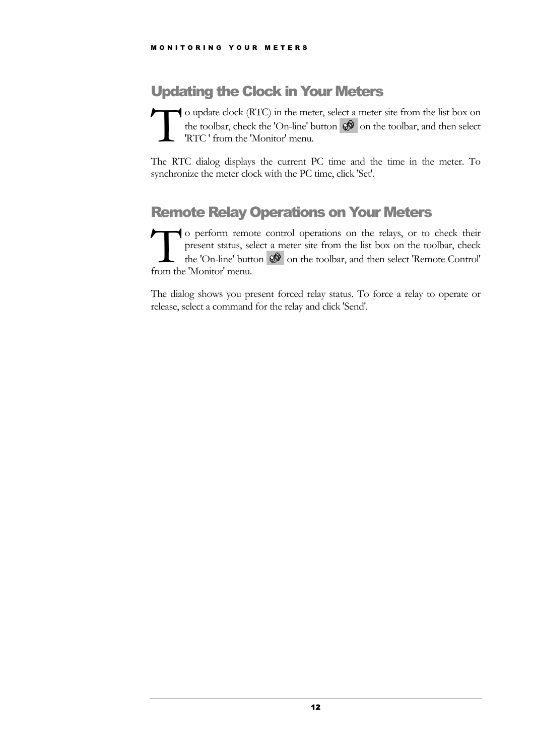## <span id="page-13-0"></span>Updating the Clock in Your Meters

o update clock (RTC) in the meter, select a meter site from the list box on the toolbar, check the 'On-line' button  $\mathcal{D}$  on the toolbar, and then select 'RTC ' from the 'Monitor' menu.  $\prod_{\substack{\text{the }\\ \text{R}'}}$ 

The RTC dialog displays the current PC time and the time in the meter. To synchronize the meter clock with the PC time, click 'Set'.

## <span id="page-13-1"></span>Remote Relay Operations on Your Meters

o perform remote control operations on the relays, or to check their present status, select a meter site from the list box on the toolbar, check the 'On-line' button  $\mathcal{R}$  on the toolbar, and then select 'Remote Control' o perform remo<br>present status, sel<br>the 'On-line' butter<br>from the 'Monitor' menu.

The dialog shows you present forced relay status. To force a relay to operate or release, select a command for the relay and click 'Send'.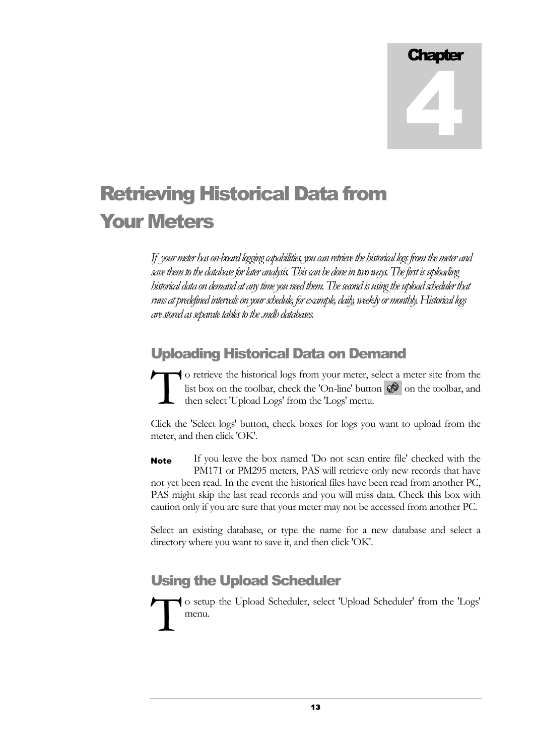# Retrieving Historical Data from Your Meters

*If your meter has on-board logging capabilities, you can retrieve the historical logs from the meter and save them to the database for later analysis. This can be done in two ways. The first is uploading historical data on demand at any time you need them. The second is using the upload scheduler that runs at predefined intervals on your schedule, for example, daily, weekly or monthly. Historical logs are stored as separate tables to the .mdb databases.* 

## <span id="page-14-0"></span>Uploading Historical Data on Demand

o retrieve the historical logs from your meter, select a meter site from the list box on the toolbar, check the 'On-line' button  $\mathcal{P}$  on the toolbar, and then select 'Upload Logs' from the 'Logs' menu.  $\sum_{\text{hist}}$ 

Click the 'Select logs' button, check boxes for logs you want to upload from the meter, and then click 'OK'.

If you leave the box named 'Do not scan entire file' checked with the PM171 or PM295 meters, PAS will retrieve only new records that have not yet been read. In the event the historical files have been read from another PC, PAS might skip the last read records and you will miss data. Check this box with caution only if you are sure that your meter may not be accessed from another PC. Note

Select an existing database, or type the name for a new database and select a directory where you want to save it, and then click 'OK'.

## <span id="page-14-1"></span>Using the Upload Scheduler

o setup the Upload Scheduler, select 'Upload Scheduler' from the 'Logs' menu.  $\int_{-\infty}^{\infty}$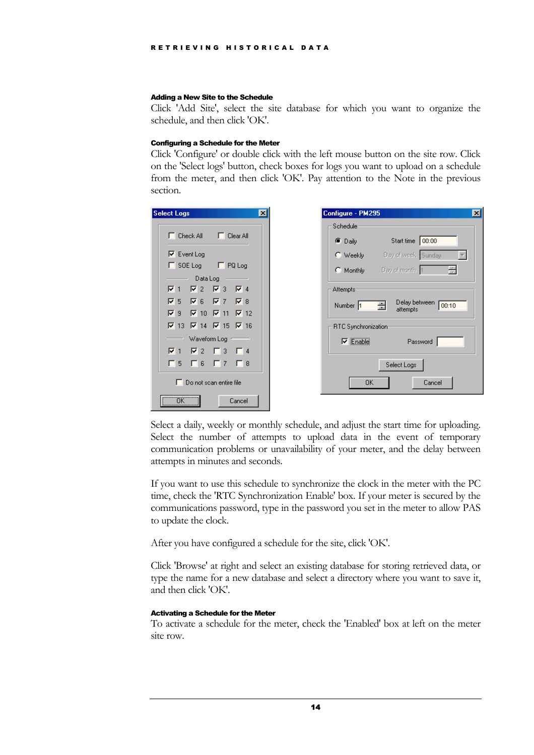#### <span id="page-15-0"></span>Adding a New Site to the Schedule

Click 'Add Site', select the site database for which you want to organize the schedule, and then click 'OK'.

#### <span id="page-15-1"></span>Configuring a Schedule for the Meter

Click 'Configure' or double click with the left mouse button on the site row. Click on the 'Select logs' button, check boxes for logs you want to upload on a schedule from the meter, and then click 'OK'. Pay attention to the Note in the previous section.

| <b>Select Logs</b> |                                                 |                                  |        |  |
|--------------------|-------------------------------------------------|----------------------------------|--------|--|
|                    |                                                 |                                  |        |  |
|                    | □ Check All □ □ Clear All                       |                                  |        |  |
|                    | $\nabla$ Event Log                              |                                  |        |  |
|                    | $\Box$ SOE Log $\Box$ PQ Log                    |                                  |        |  |
|                    | Data Log                                        |                                  |        |  |
| 1⊽ ⊽               |                                                 | $\nabla$ 2 $\nabla$ 3 $\nabla$ 4 |        |  |
| ি ১                |                                                 | $R = \nabla$ 7 $R = 8$           |        |  |
|                    | $\nabla$ 9 $\nabla$ 10 $\nabla$ 11 $\nabla$ 12  |                                  |        |  |
|                    | $\nabla$ 13 $\nabla$ 14 $\nabla$ 15 $\nabla$ 16 |                                  |        |  |
|                    |                                                 | Waveform Log ~                   |        |  |
|                    | $\nabla$ 1 $\nabla$ 2 $\Gamma$ 3 $\Gamma$ 4     |                                  |        |  |
| Γ5.                |                                                 | $\Box$ 6 $\Box$ 7 $\Box$         | 厂8     |  |
|                    | □ Do not scan entire file                       |                                  |        |  |
|                    |                                                 |                                  | Cancel |  |

| Configure - PM295     |                                         |
|-----------------------|-----------------------------------------|
| Schedule <sup>-</sup> |                                         |
| <b>©</b> Daily        | Start time 00:00                        |
|                       | C Weekly Day of week Sunday             |
|                       | C Monthly Day of month 1                |
| Attempts              |                                         |
| Number 1              | Delay between<br>00:10<br>吾<br>attempts |
| RTC Synchronization   |                                         |
| $\nabla$ Enable       | Password                                |
|                       | Select Logs                             |
| OK                    | Cancel                                  |

Select a daily, weekly or monthly schedule, and adjust the start time for uploading. Select the number of attempts to upload data in the event of temporary communication problems or unavailability of your meter, and the delay between attempts in minutes and seconds.

If you want to use this schedule to synchronize the clock in the meter with the PC time, check the 'RTC Synchronization Enable' box. If your meter is secured by the communications password, type in the password you set in the meter to allow PAS to update the clock.

After you have configured a schedule for the site, click 'OK'.

Click 'Browse' at right and select an existing database for storing retrieved data, or type the name for a new database and select a directory where you want to save it, and then click 'OK'.

#### <span id="page-15-2"></span>Activating a Schedule for the Meter

To activate a schedule for the meter, check the 'Enabled' box at left on the meter site row.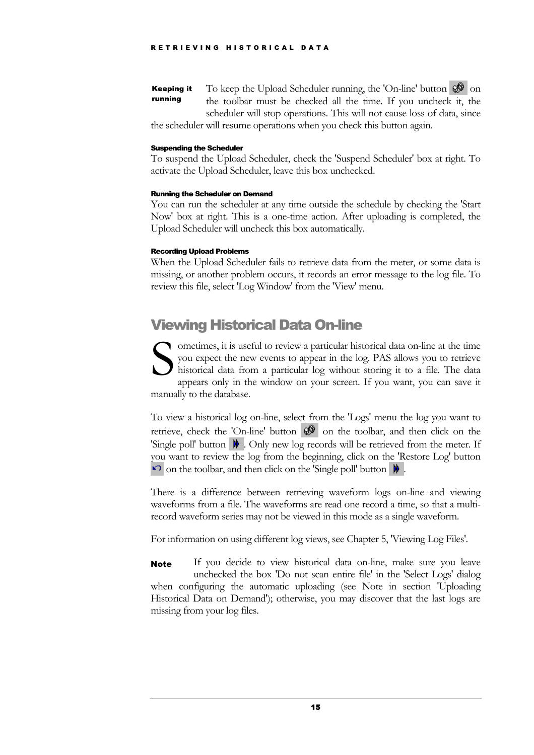To keep the Upload Scheduler running, the 'On-line' button  $\mathcal{O}(\mathcal{O})$  on the toolbar must be checked all the time. If you uncheck it, the scheduler will stop operations. This will not cause loss of data, since Keeping it running

the scheduler will resume operations when you check this button again.

#### <span id="page-16-0"></span>Suspending the Scheduler

To suspend the Upload Scheduler, check the 'Suspend Scheduler' box at right. To activate the Upload Scheduler, leave this box unchecked.

#### <span id="page-16-1"></span>Running the Scheduler on Demand

You can run the scheduler at any time outside the schedule by checking the 'Start Now' box at right. This is a one-time action. After uploading is completed, the Upload Scheduler will uncheck this box automatically.

#### <span id="page-16-2"></span>Recording Upload Problems

When the Upload Scheduler fails to retrieve data from the meter, or some data is missing, or another problem occurs, it records an error message to the log file. To review this file, select 'Log Window' from the 'View' menu.

## <span id="page-16-3"></span>Viewing Historical Data On-line

ometimes, it is useful to review a particular historical data on-line at the time you expect the new events to appear in the log. PAS allows you to retrieve historical data from a particular log without storing it to a file. The data appears only in the window on your screen. If you want, you can save it manually to the database.  $S_{\text{max}}^{\text{on}}$ 

To view a historical log on-line, select from the 'Logs' menu the log you want to retrieve, check the 'On-line' button  $\mathcal{D}$  on the toolbar, and then click on the 'Single poll' button  $\mathbf{W}$  . Only new log records will be retrieved from the meter. If you want to review the log from the beginning, click on the 'Restore Log' button on the toolbar, and then click on the 'Single poll' button  $\mathbf{\#}$ .

There is a difference between retrieving waveform logs on-line and viewing waveforms from a file. The waveforms are read one record a time, so that a multirecord waveform series may not be viewed in this mode as a single waveform.

For information on using different log views, see Chapter 5, 'Viewing Log Files'.

If you decide to view historical data on-line, make sure you leave unchecked the box 'Do not scan entire file' in the 'Select Logs' dialog when configuring the automatic uploading (see Note in section 'Uploading Historical Data on Demand'); otherwise, you may discover that the last logs are missing from your log files. **Note**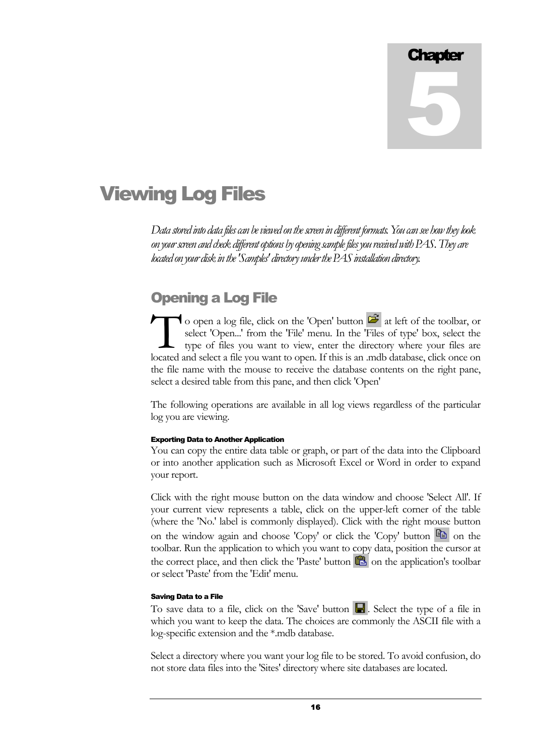# Viewing Log Files

*Data stored into data files can be viewed on the screen in different formats. You can see how they look on your screen and check different options by opening sample files you received with PAS. They are located on your disk in the 'Samples' directory under the PAS installation directory.* 

## <span id="page-17-0"></span>Opening a Log File

o open a log file, click on the 'Open' button  $\mathbb{Z}$  at left of the toolbar, or select 'Open...' from the 'File' menu. In the 'Files of type' box, select the type of files you want to view, enter the directory where your files are located and select a file you want to open. If this is an .mdb database, click once on the file name with the mouse to receive the database contents on the right pane, select a desired table from this pane, and then click 'Open'  $\prod_{\substack{\text{set} \text{try}}}$ 

The following operations are available in all log views regardless of the particular log you are viewing.

#### <span id="page-17-1"></span>Exporting Data to Another Application

You can copy the entire data table or graph, or part of the data into the Clipboard or into another application such as Microsoft Excel or Word in order to expand your report.

Click with the right mouse button on the data window and choose 'Select All'. If your current view represents a table, click on the upper-left corner of the table (where the 'No.' label is commonly displayed). Click with the right mouse button on the window again and choose 'Copy' or click the 'Copy' button  $\Box$  on the toolbar. Run the application to which you want to copy data, position the cursor at the correct place, and then click the 'Paste' button  $\Box$  on the application's toolbar or select 'Paste' from the 'Edit' menu.

#### <span id="page-17-2"></span>Saving Data to a File

To save data to a file, click on the 'Save' button  $\blacksquare$ . Select the type of a file in which you want to keep the data. The choices are commonly the ASCII file with a log-specific extension and the \*.mdb database.

Select a directory where you want your log file to be stored. To avoid confusion, do not store data files into the 'Sites' directory where site databases are located.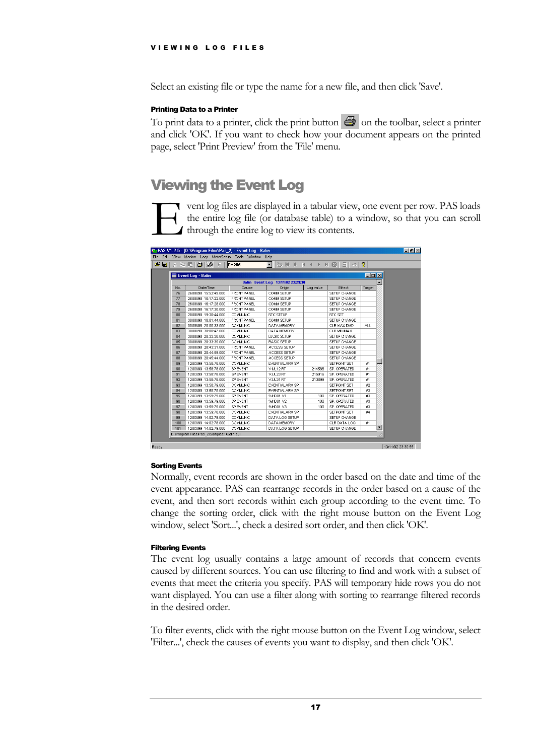Select an existing file or type the name for a new file, and then click 'Save'.

#### <span id="page-18-0"></span>Printing Data to a Printer

To print data to a printer, click the print button  $\Box$  on the toolbar, select a printer and click 'OK'. If you want to check how your document appears on the printed page, select 'Print Preview' from the 'File' menu.

## <span id="page-18-1"></span>Viewing the Event Log

vent log files are displayed in a tabular view, one event per row. PAS loads the entire log file (or database table) to a window, so that you can scroll through the entire log to view its contents. Extra the definition of the definition of the definition of the set of the definition of the definition of the set of the definition of the set of the definition of the set of the set of the set of the set of the set of th

| P<br>$\blacksquare$<br><b>PM295</b><br>$\vert\mathcal{C}\rangle$ |                       |                    |                                   |           |              |            |   |  |  |
|------------------------------------------------------------------|-----------------------|--------------------|-----------------------------------|-----------|--------------|------------|---|--|--|
| $\Box$ o $\mathbf{x}$<br>Event Log - Balin                       |                       |                    |                                   |           |              |            |   |  |  |
|                                                                  |                       |                    | Balin Event Log 13/11/02 23:29:30 |           |              |            |   |  |  |
| No.                                                              | Date/Time             | Cause              | Origin                            | Log value | Effect       | Target     |   |  |  |
| 76                                                               | 26/08/98 15:52:49.000 | FRONT PANEL        | COMM SETUP                        |           | SETUP CHANGE |            |   |  |  |
| 77                                                               | 26/08/98 16:17:22.000 | FRONT PANEL        | COMM SETUP                        |           | SETUP CHANGE |            |   |  |  |
| 78                                                               | 26/08/98 16:17:28.000 | <b>FRONT PANEL</b> | COMM SETUP                        |           | SETUP CHANGE |            |   |  |  |
| 79                                                               | 26/08/98 16:17:30.000 | <b>FRONT PANEL</b> | COMM SETUP                        |           | SETUP CHANGE |            |   |  |  |
| 80                                                               | 28/08/98 19:20:44.000 | <b>COMMUNIC</b>    | RTC SETUP                         |           | RTC SET      |            |   |  |  |
| 81                                                               | 30/08/98 16:01:44.000 | FRONT PANEL        | COMM SETUP                        |           | SETUP CHANGE |            |   |  |  |
| 82                                                               | 30/08/98 20:00:33.000 | COMMUNIC           | DATA MEMORY                       |           | CLR MAX DMD  | <b>ALL</b> |   |  |  |
| 83                                                               | 30/08/98 20:00:47.000 | COMMUNIC           | DATA MEMORY                       |           | CLR MINMAX   |            |   |  |  |
| 84                                                               | 30/08/98 20:33:38.000 | <b>COMMUNIC</b>    | <b>BASIC SETUP</b>                |           | SETUP CHANGE |            |   |  |  |
| 85                                                               | 30/08/98 20:33:39.000 | <b>COMMUNIC</b>    | <b>BASIC SETUP</b>                |           | SETUP CHANGE |            |   |  |  |
| 86                                                               | 30/08/98 20:43:31.000 | <b>FRONT PANEL</b> | ACCESS SETUP                      |           | SETUP CHANGE |            |   |  |  |
| 87                                                               | 30/08/98 20:44:59.000 | FRONT PANEL        | ACCESS SETUP                      |           | SETUP CHANGE |            |   |  |  |
| 88                                                               | 30/08/98 20:45:44.000 | FRONT PANEL        | ACCESS SETUP                      |           | SETUP CHANGE |            |   |  |  |
| 89                                                               | 12/03/99 13:58:78.000 | <b>COMMUNIC</b>    | EVENT/ALARM SP                    |           | SETPOINT SET | #1         |   |  |  |
| 90                                                               | 12/03/99 13:58:78.000 | SP EVENT           | <b>V1/L12 RT</b>                  | 214586    | SP. OPERATED | #1         |   |  |  |
| 91                                                               | 12/03/99 13:58:78.000 | SP EVENT           | <b>V2A23RT</b>                    | 215916    | SP. OPERATED | #1         |   |  |  |
| 92                                                               | 12/03/99 13:58:78.000 | SP EVENT           | V3/L31 RT                         | 213699    | SP. OPERATED | #1         |   |  |  |
| 93                                                               | 12/03/99 13:58:79.000 | <b>COMMUNIC</b>    | EVENT/ALARM SP                    |           | SETPOINT SET | #2         |   |  |  |
| 94                                                               | 12/03/99 13:59:79.000 | <b>COMMUNIC</b>    | EVENT/ALARM SP                    |           | SETPOINT SET | #3         |   |  |  |
| 95                                                               | 12/03/99 13:59:79.000 | SP EVENT           | %HD01 V1                          | 100       | SP. OPERATED | #3         |   |  |  |
| 96                                                               | 12/03/99 13:59:79.000 | SP EVENT           | %HD01 V2                          | 100       | SP. OPERATED | #3         |   |  |  |
| 97                                                               | 12/03/99 13:59:79.000 | SP EVENT           | %HD01 V3                          | 100       | SP. OPERATED | #3         |   |  |  |
| 98                                                               | 12/03/99 13:59:78.000 | <b>COMMUNIC</b>    | EVENT/ALARM SP                    |           | SETPOINT SET | #4         |   |  |  |
| 99                                                               | 12/03/99 14:02:79.000 | <b>COMMUNIC</b>    | DATA LOG SETUP                    |           | SETUP CHANGE |            |   |  |  |
| 100                                                              | 12/03/99 14:02:78.000 | <b>COMMUNIC</b>    | DATA MEMORY                       |           | CLR DATA LOG | #1         |   |  |  |
| 101                                                              | 12/03/99 14:02:79.000 | <b>COMMUNIC</b>    | DATA LOG SETUP                    |           | SETUP CHANGE |            | ▼ |  |  |

#### <span id="page-18-2"></span>Sorting Events

Normally, event records are shown in the order based on the date and time of the event appearance. PAS can rearrange records in the order based on a cause of the event, and then sort records within each group according to the event time. To change the sorting order, click with the right mouse button on the Event Log window, select 'Sort...', check a desired sort order, and then click 'OK'.

#### <span id="page-18-3"></span>Filtering Events

The event log usually contains a large amount of records that concern events caused by different sources. You can use filtering to find and work with a subset of events that meet the criteria you specify. PAS will temporary hide rows you do not want displayed. You can use a filter along with sorting to rearrange filtered records in the desired order.

To filter events, click with the right mouse button on the Event Log window, select 'Filter...', check the causes of events you want to display, and then click 'OK'.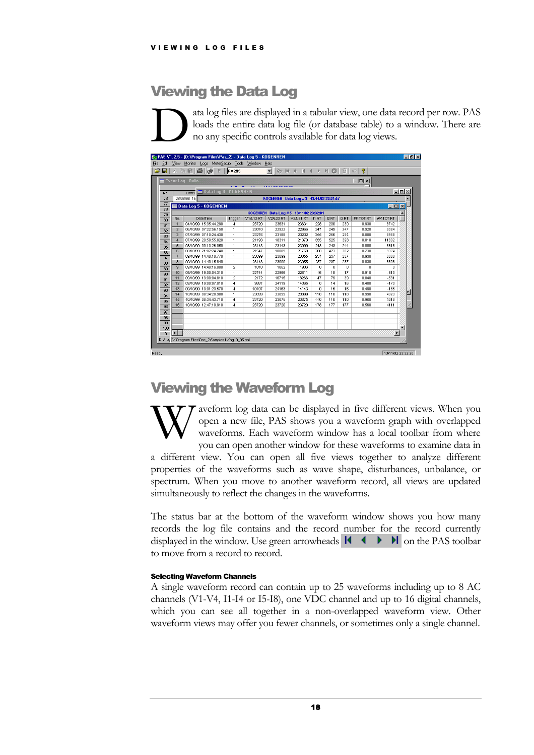## <span id="page-19-0"></span>Viewing the Data Log

ata log files are displayed in a tabular view, one data record per row. PAS loads the entire data log file (or database table) to a window. There are no any specific controls available for data log views.  $\sum_{\substack{\text{loc}\\ \text{no}}}$ 

| c o      |                | $\lambda$ in E $ \bigoplus  \emptyset $<br>E | <b>PM295</b>   |                  | $\blacktriangledown$                    | $\Rightarrow$ $\theta$ $\theta$ $\theta$ $\rightarrow$ $\theta$ $\theta$ |              |          | 翻           | P<br>$ C\rangle$ |                  |                  |
|----------|----------------|----------------------------------------------|----------------|------------------|-----------------------------------------|--------------------------------------------------------------------------|--------------|----------|-------------|------------------|------------------|------------------|
|          |                | Event Log - Balin                            |                |                  |                                         |                                                                          |              |          |             | $ \Box$ $\times$ |                  |                  |
|          |                |                                              |                |                  |                                         |                                                                          |              |          |             |                  |                  |                  |
| No.      |                | Data Log 3 - KOGENREN<br>Date/               |                |                  |                                         |                                                                          |              |          |             |                  |                  | $ \Box$ $\times$ |
| 76       |                | 26/08/98 15                                  |                |                  | KOGENREN Data Log #3 13/11/02 23:31:57  |                                                                          |              |          |             |                  |                  |                  |
| 77       |                | Data Log 5 - KOGENREN                        |                |                  |                                         |                                                                          |              |          |             |                  | $\Box$ DIX       |                  |
| 78       |                |                                              |                |                  | KOGENREN Data Log # 5 13/11/02 23:32:01 |                                                                          |              |          |             |                  |                  |                  |
| 79       | No.            | Date/Time                                    | Trigger        | <b>V1/L12 RT</b> | V2A23RT                                 | <b>V3A.31 RT</b>                                                         | <b>II RT</b> | 12 RT    | <b>I3RT</b> | PF TOT RT        | <b>KW TOT RT</b> |                  |
| 80       | $\overline{1}$ | 04/10/99 15:35:44.290                        | 4              | 23720            | 23631                                   | 23631                                                                    | 228          | 230      | 230         | 0.930            | 8742             |                  |
| 81       | $\overline{2}$ | 06/10/99 07:22:56.150                        | $\mathbf{1}$   | 23010            | 22922                                   | 22966                                                                    | 247          | 249      | 247         | 0.920            | 9084             |                  |
| 82       | 3              | 07/10/99 07:10:24.430                        | $\mathbf{1}$   | 23276            | 23188                                   | 23232                                                                    | 255          | 256      | 254         | 0.880            | 8958             |                  |
| 83<br>84 | $\overline{4}$ | 07/10/99 20:50:55.820                        | $\mathbf{1}$   | 21193            | 18311                                   | 21370                                                                    | 355          | 525      | 398         | 0.810            | 11802            |                  |
| 85       | 5              | 08/10/99 09:13:26.050                        | $\mathbf{1}$   | 23143            | 23143                                   | 23099                                                                    | 243          | 243      | 244         | 0.880            | 8618             |                  |
| 86       | $\mathbf{f}$   | 08/10/99 21:02:24 740                        | $\mathbf{1}$   | 21547            | 18089                                   | 21769                                                                    | 288          | 473      | 382         | 0.730            | 9374             |                  |
| 87       | $\overline{7}$ | 09/10/99 14:40:10.770                        | $\mathbf{1}$   | 23099            | 23099                                   | 23055                                                                    | 237          | 237      | 237         | 0.930            | 8800             |                  |
| 88       | 8              | 09/10/99 14:40:15 840                        | $\mathbf{1}$   | 23143            | 23099                                   | 23055                                                                    | 237          | 237      | 237         | 0.930            | 8808             |                  |
| 89       | $\mathbf{q}$   | 09/10/99 14:40:16.000                        | 2              | 1818             | 1862                                    | 1906                                                                     | n            | $\Omega$ | 0           | n.               | n                |                  |
| 90       | 10             | 09/10/99 19:00:04.310                        | $\mathbf{1}$   | 22744            | 22966                                   | 22611                                                                    | 16           | 18       | 17          | 0.910            | $-613$           |                  |
| 91       | 11             | 09/10/99 19:00:04.810                        | $\overline{2}$ | 2172             | 16715                                   | 18266                                                                    | 47           | 79       | 39          | 0.840            | $-531$           |                  |
| 92       | 12             | 09/10/99 19:00:07.010                        | $\overline{4}$ | 9887             | 24119                                   | 14365                                                                    | n            | 14       | 16          | 0.480            | $-170$           |                  |
| 93       | 13             | 09/10/99 19:01:23.570                        | $\overline{4}$ | 10197            | 24163                                   | 14143                                                                    | n            | 15       | 16          | 0.490            | $-185$           |                  |
| 94       | 14             | 10/10/99 08:34:20.980                        | $\overline{1}$ | 23099            | 23099                                   | 23099                                                                    | 110          | 110      | 110         | 0.990            | 4323             |                  |
| 95       | 15             | 10/10/99 08:34:43.710                        | 4              | 23720            | 23675                                   | 23675                                                                    | 110          | 110      | 110         | 0.960            | 4318             |                  |
| 96       | 16             | 10/10/99 12:47:10.910                        | $\overline{4}$ | 23720            | 23720                                   | 23720                                                                    | 178          | 177      | 177         | 0.560            | 4111             |                  |
| 97       |                |                                              |                |                  |                                         |                                                                          |              |          |             |                  |                  |                  |
| 98       |                |                                              |                |                  |                                         |                                                                          |              |          |             |                  |                  |                  |
| 99       |                |                                              |                |                  |                                         |                                                                          |              |          |             |                  |                  |                  |
| 100      |                |                                              |                |                  |                                         |                                                                          |              |          |             |                  |                  |                  |
| 101      | ыf             |                                              |                |                  |                                         |                                                                          |              |          |             |                  |                  |                  |

### <span id="page-19-1"></span>Viewing the Waveform Log

aveform log data can be displayed in five different views. When you open a new file, PAS shows you a waveform graph with overlapped waveforms. Each waveform window has a local toolbar from where you can open another window for these waveforms to examine data in a different view. You can open all five views together to analyze different properties of the waveforms such as wave shape, disturbances, unbalance, or spectrum. When you move to another waveform record, all views are updated simultaneously to reflect the changes in the waveforms. W

The status bar at the bottom of the waveform window shows you how many records the log file contains and the record number for the record currently displayed in the window. Use green arrowheads  $\mathbf{A} \bullet \mathbf{B}$  on the PAS toolbar to move from a record to record.

#### <span id="page-19-2"></span>Selecting Waveform Channels

A single waveform record can contain up to 25 waveforms including up to 8 AC channels (V1-V4, I1-I4 or I5-I8), one VDC channel and up to 16 digital channels, which you can see all together in a non-overlapped waveform view. Other waveform views may offer you fewer channels, or sometimes only a single channel.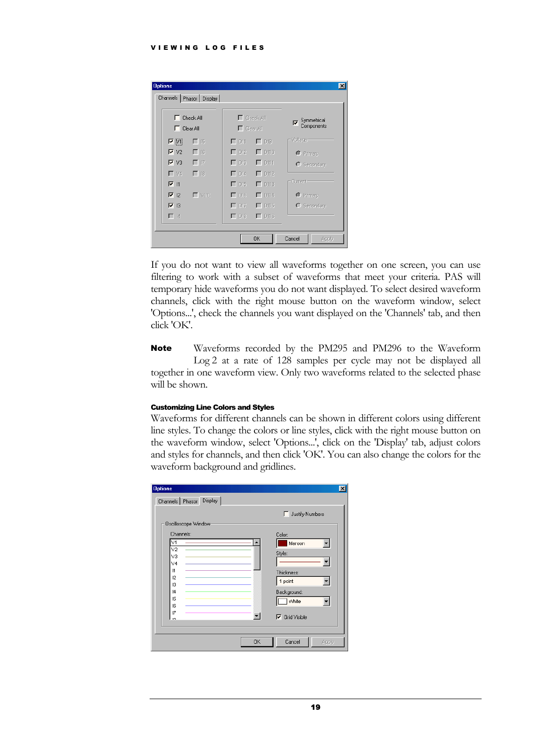| <b>Options</b>                     |              |                  |                          | $\vert x \vert$                 |  |  |  |
|------------------------------------|--------------|------------------|--------------------------|---------------------------------|--|--|--|
| Channels   Phasor   Display        |              |                  |                          |                                 |  |  |  |
| Check All<br>┍<br>$\Box$ Clear All |              | $\Box$ Clear All | $\Gamma$ Check All       | Symmetrical<br>ঢ়<br>Components |  |  |  |
| $\nabla$ $V1$                      | $\Gamma$ 15  | $\Gamma$ DH      | $\Gamma$ DIS             | Voltage-                        |  |  |  |
| $\overline{V}$ V <sub>2</sub>      | $\Box$ 16    | $\Box$ DI2       | $\Gamma$ DI10            | C Primary                       |  |  |  |
| $\nabla$ V3                        | $\Box$ 17    | $\Gamma$ DI3     | $\Gamma$ DI11            | <b>O</b> Secondary              |  |  |  |
| $\Gamma$ V4                        | $\Box$ 18    | $\Gamma$ DI4     | $\Gamma$ DI12            |                                 |  |  |  |
| $\nabla$ 11                        |              | $\Gamma$ DI5     | $\Gamma$ DH <sub>3</sub> | Current-                        |  |  |  |
| $\overline{V}$ 12                  | $\Gamma$ VDC | $\Gamma$ DIB     | $\Gamma$ DI14            | C Primary                       |  |  |  |
| $\triangledown$ 13                 |              | $\Gamma$ DIZ     | $\Gamma$ DH <sub>5</sub> | $\bigcirc$ Secondary            |  |  |  |
| $\Box$ 14                          |              | $\Box$ DI8       | $\Gamma$ DI16            |                                 |  |  |  |
|                                    |              |                  |                          |                                 |  |  |  |
|                                    |              |                  | <b>OK</b>                | Cancel<br>Apply                 |  |  |  |

If you do not want to view all waveforms together on one screen, you can use filtering to work with a subset of waveforms that meet your criteria. PAS will temporary hide waveforms you do not want displayed. To select desired waveform channels, click with the right mouse button on the waveform window, select 'Options...', check the channels you want displayed on the 'Channels' tab, and then click 'OK'.

Waveforms recorded by the PM295 and PM296 to the Waveform Log 2 at a rate of 128 samples per cycle may not be displayed all together in one waveform view. Only two waveforms related to the selected phase will be shown. Note

#### <span id="page-20-0"></span>Customizing Line Colors and Styles

Waveforms for different channels can be shown in different colors using different line styles. To change the colors or line styles, click with the right mouse button on the waveform window, select 'Options...', click on the 'Display' tab, adjust colors and styles for channels, and then click 'OK'. You can also change the colors for the waveform background and gridlines.

| <b>Options</b>               | $\vert x \vert$       |
|------------------------------|-----------------------|
| Display<br>Channels   Phasor |                       |
|                              | Justify Numbers<br>г  |
| Oscilloscope Window          |                       |
| Channels:                    | Color:                |
| VĪ.                          | Maroon                |
| V <sub>2</sub>               | Style:                |
| V3<br>V <sub>4</sub>         |                       |
| 11                           | Thickness:            |
| 12                           | 1 point               |
| 13                           |                       |
| 4<br>15                      | Background:           |
| 16                           | White                 |
| $\overline{17}$              | $\nabla$ Grid Visible |
| io.                          |                       |
|                              |                       |
| <b>OK</b>                    | Cancel<br>Apply       |
|                              |                       |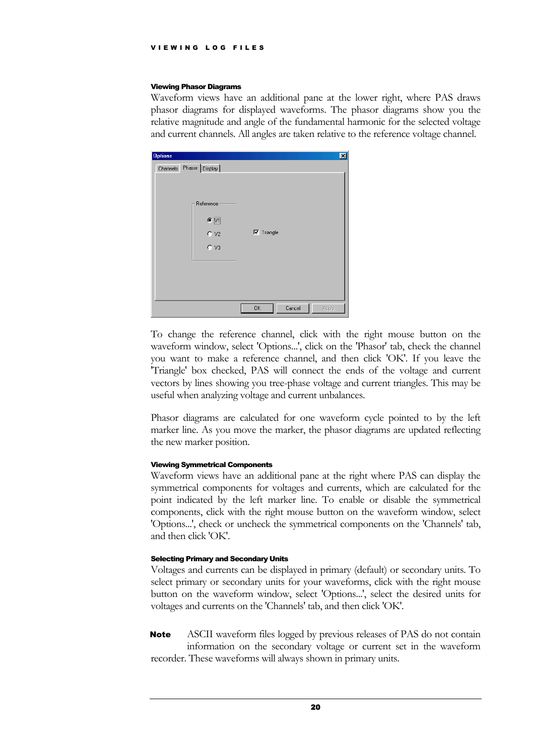#### <span id="page-21-0"></span>Viewing Phasor Diagrams

Waveform views have an additional pane at the lower right, where PAS draws phasor diagrams for displayed waveforms. The phasor diagrams show you the relative magnitude and angle of the fundamental harmonic for the selected voltage and current channels. All angles are taken relative to the reference voltage channel.

| <b>Options</b>          |                                          |                   | 図     |
|-------------------------|------------------------------------------|-------------------|-------|
| Channels Phasor Display |                                          |                   |       |
|                         |                                          |                   |       |
|                         |                                          |                   |       |
|                         |                                          |                   |       |
|                         | Reference                                |                   |       |
|                         | $\bullet$ $\overline{\boxtimes 1}$       |                   |       |
|                         |                                          |                   |       |
|                         | $C$ v <sub>2</sub><br>$C$ v <sub>3</sub> | $\nabla$ Triangle |       |
|                         |                                          |                   |       |
|                         |                                          |                   |       |
|                         |                                          |                   |       |
|                         |                                          |                   |       |
|                         |                                          |                   |       |
|                         |                                          |                   |       |
|                         |                                          | OK<br>Cancel      | Apply |
|                         |                                          |                   |       |

To change the reference channel, click with the right mouse button on the waveform window, select 'Options...', click on the 'Phasor' tab, check the channel you want to make a reference channel, and then click 'OK'. If you leave the 'Triangle' box checked, PAS will connect the ends of the voltage and current vectors by lines showing you tree-phase voltage and current triangles. This may be useful when analyzing voltage and current unbalances.

Phasor diagrams are calculated for one waveform cycle pointed to by the left marker line. As you move the marker, the phasor diagrams are updated reflecting the new marker position.

#### <span id="page-21-1"></span>Viewing Symmetrical Components

Waveform views have an additional pane at the right where PAS can display the symmetrical components for voltages and currents, which are calculated for the point indicated by the left marker line. To enable or disable the symmetrical components, click with the right mouse button on the waveform window, select 'Options...', check or uncheck the symmetrical components on the 'Channels' tab, and then click 'OK'.

#### <span id="page-21-2"></span>Selecting Primary and Secondary Units

Voltages and currents can be displayed in primary (default) or secondary units. To select primary or secondary units for your waveforms, click with the right mouse button on the waveform window, select 'Options...', select the desired units for voltages and currents on the 'Channels' tab, and then click 'OK'.

ASCII waveform files logged by previous releases of PAS do not contain information on the secondary voltage or current set in the waveform recorder. These waveforms will always shown in primary units. **Note**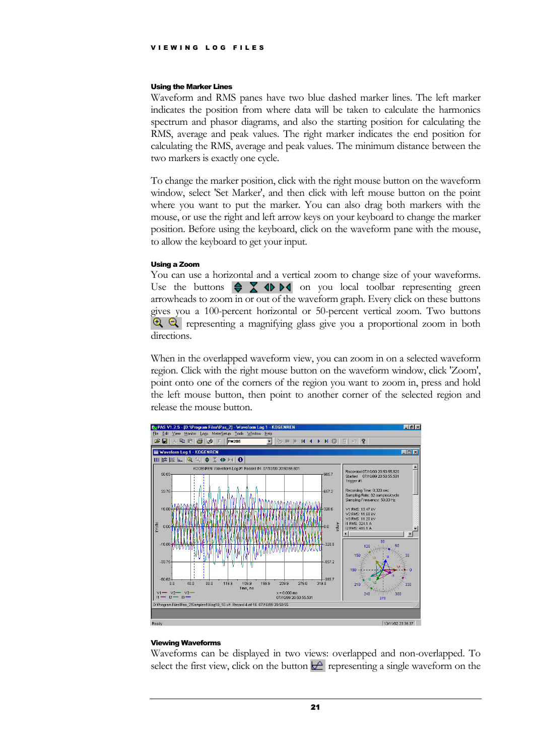#### <span id="page-22-0"></span>Using the Marker Lines

Waveform and RMS panes have two blue dashed marker lines. The left marker indicates the position from where data will be taken to calculate the harmonics spectrum and phasor diagrams, and also the starting position for calculating the RMS, average and peak values. The right marker indicates the end position for calculating the RMS, average and peak values. The minimum distance between the two markers is exactly one cycle.

To change the marker position, click with the right mouse button on the waveform window, select 'Set Marker', and then click with left mouse button on the point where you want to put the marker. You can also drag both markers with the mouse, or use the right and left arrow keys on your keyboard to change the marker position. Before using the keyboard, click on the waveform pane with the mouse, to allow the keyboard to get your input.

#### <span id="page-22-1"></span>Using a Zoom

You can use a horizontal and a vertical zoom to change size of your waveforms. Use the buttons  $\bigoplus$   $\mathbb{Z}$   $\oplus$   $\mathbb{M}$  on you local toolbar representing green arrowheads to zoom in or out of the waveform graph. Every click on these buttons gives you a 100-percent horizontal or 50-percent vertical zoom. Two buttons representing a magnifying glass give you a proportional zoom in both directions.

When in the overlapped waveform view, you can zoom in on a selected waveform region. Click with the right mouse button on the waveform window, click 'Zoom', point onto one of the corners of the region you want to zoom in, press and hold the left mouse button, then point to another corner of the selected region and release the mouse button.



#### <span id="page-22-2"></span>Viewing Waveforms

Waveforms can be displayed in two views: overlapped and non-overlapped. To select the first view, click on the button  $\mathbf{r}$  representing a single waveform on the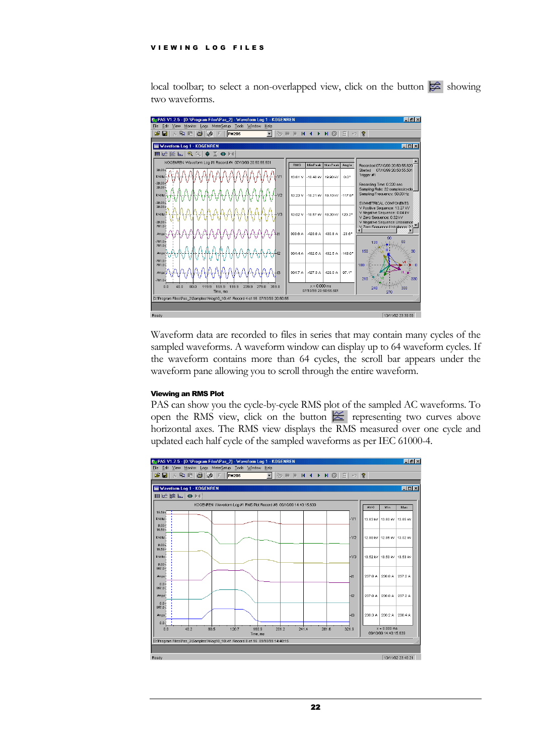local toolbar; to select a non-overlapped view, click on the button  $\mathbb{R}$  showing two waveforms.



Waveform data are recorded to files in series that may contain many cycles of the sampled waveforms. A waveform window can display up to 64 waveform cycles. If the waveform contains more than 64 cycles, the scroll bar appears under the waveform pane allowing you to scroll through the entire waveform.

#### <span id="page-23-0"></span>Viewing an RMS Plot

PAS can show you the cycle-by-cycle RMS plot of the sampled AC waveforms. To open the RMS view, click on the button  $\approx$  representing two curves above horizontal axes. The RMS view displays the RMS measured over one cycle and updated each half cycle of the sampled waveforms as per IEC 61000-4.

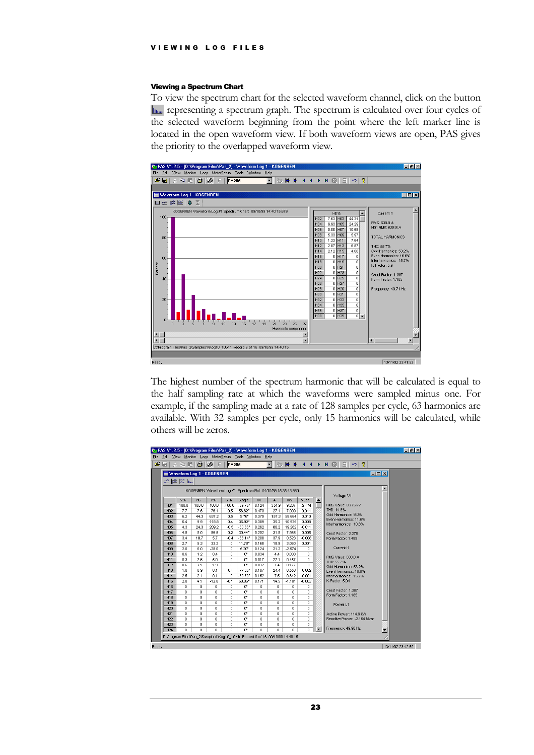#### <span id="page-24-0"></span>Viewing a Spectrum Chart

To view the spectrum chart for the selected waveform channel, click on the button representing a spectrum graph. The spectrum is calculated over four cycles of the selected waveform beginning from the point where the left marker line is located in the open waveform view. If both waveform views are open, PAS gives the priority to the overlapped waveform view.



The highest number of the spectrum harmonic that will be calculated is equal to the half sampling rate at which the waveforms were sampled minus one. For example, if the sampling made at a rate of 128 samples per cycle, 63 harmonics are available. With 32 samples per cycle, only 15 harmonics will be calculated, while others will be zeros.

| ы               |              | 人生日日的                     | F.           | <b>PM295</b> |                       |              | ▾     | $\Rightarrow \mathsf{W} \mathsf{W} \mathsf{H} \mathsf{H} \mathsf{H} \mathsf{B}$ |          |                          | P<br>翻<br>KO.                                  |                          |
|-----------------|--------------|---------------------------|--------------|--------------|-----------------------|--------------|-------|---------------------------------------------------------------------------------|----------|--------------------------|------------------------------------------------|--------------------------|
|                 |              | Waveform Log 1 - KOGENREN |              |              |                       |              |       |                                                                                 |          |                          | <b>COK</b>                                     |                          |
|                 | 化钩形厂         |                           |              |              |                       |              |       |                                                                                 |          |                          |                                                |                          |
|                 |              |                           |              |              |                       |              |       |                                                                                 |          |                          |                                                |                          |
|                 |              |                           |              |              |                       |              |       | KOGENREN Waveform Log #1 Spectrum Plot 04/10/99 15:35:43.980                    |          |                          | Voltage V1                                     |                          |
|                 | V%           | 1%                        | P%           | $Q\%$        | Anale                 | kV           | A     | KW                                                                              | Mvar     | $\overline{\phantom{a}}$ |                                                |                          |
| H <sub>01</sub> | 100.0        | 100.0                     | 100.0        | $-100.0$     | $-89.76$ <sup>*</sup> | 6.124        | 354.9 | 9.207                                                                           | $-2.174$ |                          | RMS Value: 8.775 kV                            |                          |
| H <sub>02</sub> | 7.7          | 7.6                       | 76.1         | 0.5          | 56.82*                | 0.473        | 27.1  | 7.009                                                                           | 0.011    |                          | THD: 14.8%                                     |                          |
| H <sub>03</sub> | 6.2          | 44.3                      | 637.2        | 0.5          | $9.76^{\circ}$        | 0.379        | 157.3 | 58.664                                                                          | 0.010    |                          | Odd Harmonics: 9.0%                            |                          |
| H <sub>04</sub> | 6.4          | 9.9                       | 118.8        | 0.4          | 36.92*                | 0.389        | 35.2  | 10.935                                                                          | 0.008    |                          | Even Harmonics: 11.6%<br>Interharmonics: 10.8% |                          |
| <b>H05</b>      | 4.3          | 24.3                      | 209.2        | $-0.5$       | $-30.83$              | 0.262        | 86.2  | 19.262                                                                          | $-0.011$ |                          |                                                |                          |
| H06             | 4.8          | 9.0                       | 86.5         | 0.2          | $30.44^{\circ}$       | 0.292        | 31.9  | 7.968                                                                           | 0.005    |                          | Crest Factor: 2.278                            |                          |
| H07             | 3.4          | 10.7                      | 5.7          | $-0.4$       | $-86.14$ <sup>*</sup> | 0.208        | 37.9  | 0.523                                                                           | $-0.008$ |                          | Form Factor: 1.489                             |                          |
| H08             | 2.7          | 5.3                       | 33.2         | 0            | 11.78*                | 0.168        | 18.9  | 3.060                                                                           | 0.001    |                          |                                                |                          |
| H09             | 20           | 6.0                       | $-28.0$      | 0.           | $5.20^{\circ}$        | f124         | 21.2  | $-2.574$                                                                        | 0        |                          | Current I1                                     |                          |
| H10             | 0.6          | 1.2                       | 0.4          | n.           | n.                    | 0.034        | 4.4   | 0.038                                                                           | 0        |                          | RMS Value: 638.8 A                             |                          |
| H11             | 0.3          | 7.6                       | 5.0          | n.           | n.                    | 0.017        | 27.1  | 0.457                                                                           | 0        |                          | THD: 55.7%                                     |                          |
| H <sub>12</sub> | 0.6          | 2.1                       | 1.9          | 0            | n*                    | 0.037        | 7.4   | 0.177                                                                           | 0        |                          | Odd Harmonics: 53.2%                           |                          |
| H <sub>13</sub> | 1.8          | 6.9                       | 6.1          | $-0.1$       | $-77.20^{\circ}$      | 0.107        | 24.4  | 0.558                                                                           | $-0.002$ |                          | Even Harmonics: 16.6%                          |                          |
| H14             | 2.5          | 2.1                       | 9.1          | n.           | $-39.70$ <sup>*</sup> | 0.152        | 7.5   | 0.842                                                                           | $-0.001$ |                          | Interharmonics: 15.7%                          |                          |
| <b>H15</b>      | 2.8          | 4.1                       | $-12.8$      | $-0.1$       | 59.86°                | 0.171        | 14.5  | $-1.181$                                                                        | $-0.002$ |                          | K-Factor: 5.94                                 |                          |
| H <sub>16</sub> | $^{\circ}$   | 0                         | $\mathbf 0$  | 0            | U.                    | 0            | 0     | 0                                                                               | 0        |                          | Crest Factor: 1.387                            |                          |
| <b>H17</b>      | $^{\circ}$   | 0                         | $\mathbf{0}$ | 0            | n*                    | 0            | 0     | $^{\circ}$                                                                      | 0        |                          | Form Factor: 1.185                             |                          |
| <b>H18</b>      | 0            | $\mathbf 0$               | $\Omega$     | n.           | n*                    | n            | 0     | $^{\circ}$                                                                      | 0        |                          |                                                |                          |
| H <sub>19</sub> | $\mathbf{0}$ | $\Omega$                  | $\Omega$     | n.           | n*                    | $\Omega$     | 0     | $\Omega$                                                                        | 0        |                          | Power L1                                       |                          |
| H20             | $\mathbf{0}$ | $\Omega$                  | $\Omega$     | 0            | n*                    | $\mathbf{0}$ | 0     | $\Omega$                                                                        | 0        |                          |                                                |                          |
| H <sub>21</sub> | $\theta$     | $\Omega$                  | $\Omega$     | 0            | n*                    | $\Omega$     | 0     | $\Omega$                                                                        | 0        |                          | Active Power: 114.9 KW                         |                          |
| H <sub>22</sub> | $\Omega$     | $\Omega$                  | 0            | 0            | U.                    | $\Omega$     | 0.    | 0                                                                               | 0        |                          | Reactive Power: - 2.164 Mvar                   |                          |
| H <sub>23</sub> | $\Omega$     | $\Omega$                  | $\Omega$     | 0            | U.                    | $\Omega$     | 0     | $\Omega$                                                                        | 0        |                          | Frequency: 49.98 Hz                            |                          |
| H <sub>24</sub> | n            | $\Omega$                  | n.           | O.           | n*                    | $\Omega$     | 0.    | 0                                                                               | 0        |                          |                                                | $\overline{\phantom{a}}$ |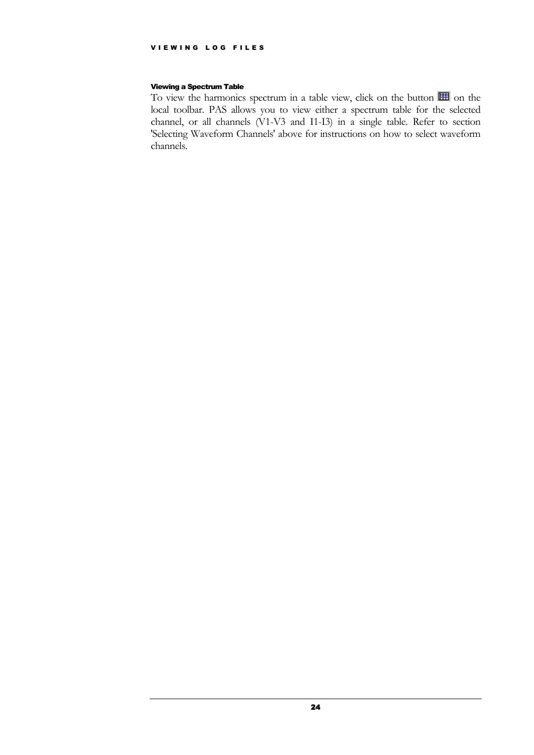#### <span id="page-25-0"></span>Viewing a Spectrum Table

To view the harmonics spectrum in a table view, click on the button  $\mathbb{H}$  on the local toolbar. PAS allows you to view either a spectrum table for the selected channel, or all channels (V1-V3 and I1-I3) in a single table. Refer to section 'Selecting Waveform Channels' above for instructions on how to select waveform channels.